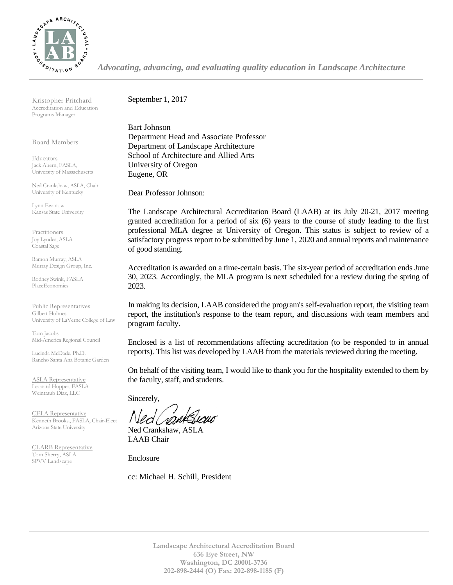

*Advocating, advancing, and evaluating quality education in Landscape Architecture*

Kristopher Pritchard Accreditation and Education Programs Manager

Board Members

**Educators** Jack Ahern, FASLA, University of Massachusetts

Ned Crankshaw, ASLA, Chair University of Kentucky

Lynn Ewanow Kansas State University

**Practitioners** Joy Lyndes, ASLA Coastal Sage

Ramon Murray, ASLA Murray Design Group, Inc.

Rodney Swink, FASLA PlaceEconomics

Public Representatives Gilbert Holmes University of LaVerne College of Law

Tom Jacobs Mid-America Regional Council

Lucinda McDade, Ph.D. Rancho Santa Ana Botanic Garden

ASLA Representative Leonard Hopper, FASLA Weintraub Diaz, LLC

CELA Representative Kenneth Brooks., FASLA, Chair-Elect Arizona State University

CLARB Representative Tom Sherry, ASLA SPVV Landscape

September 1, 2017

Bart Johnson Department Head and Associate Professor Department of Landscape Architecture School of Architecture and Allied Arts University of Oregon Eugene, OR

Dear Professor Johnson:

The Landscape Architectural Accreditation Board (LAAB) at its July 20-21, 2017 meeting granted accreditation for a period of six (6) years to the course of study leading to the first professional MLA degree at University of Oregon. This status is subject to review of a satisfactory progress report to be submitted by June 1, 2020 and annual reports and maintenance of good standing.

Accreditation is awarded on a time-certain basis. The six-year period of accreditation ends June 30, 2023. Accordingly, the MLA program is next scheduled for a review during the spring of 2023.

In making its decision, LAAB considered the program's self-evaluation report, the visiting team report, the institution's response to the team report, and discussions with team members and program faculty.

Enclosed is a list of recommendations affecting accreditation (to be responded to in annual reports). This list was developed by LAAB from the materials reviewed during the meeting.

On behalf of the visiting team, I would like to thank you for the hospitality extended to them by the faculty, staff, and students.

Sincerely,

Ned Crankshaw, ASLA LAAB Chair

Enclosure

cc: Michael H. Schill, President